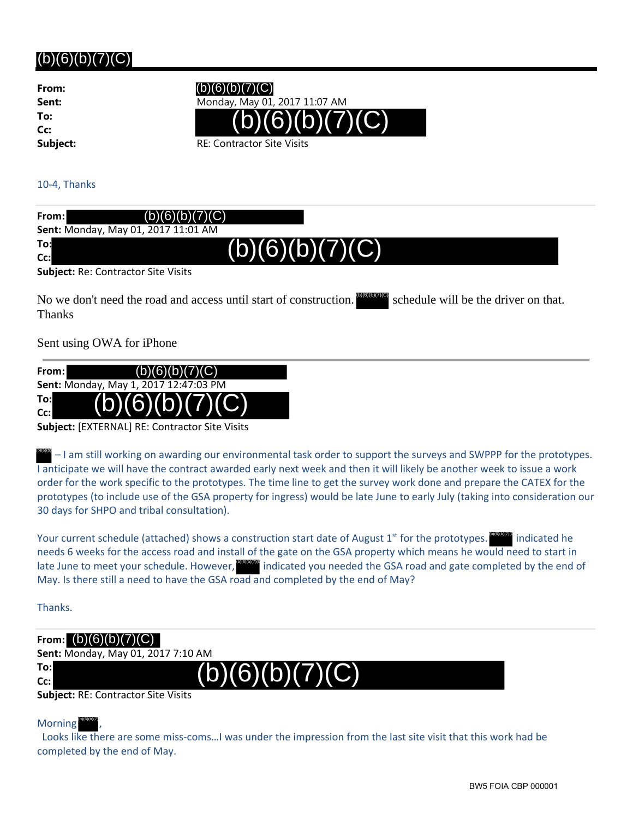# $(b)(6)(b)(7)(C)$

**From: To: Cc:**

 $(b)(6)(b)(7)(C)$ 

**Sent:** Monday, May 01, 2017 11:07 AM



10‐4, Thanks

Thanks

| From:                                      | (b)(6)(b)(7)(C)                                                                                                   |  |
|--------------------------------------------|-------------------------------------------------------------------------------------------------------------------|--|
|                                            | Sent: Monday, May 01, 2017 11:01 AM                                                                               |  |
| To:<br>$Cc$ :                              | (b)(6)(b)(7)(C)                                                                                                   |  |
| <b>Subject: Re: Contractor Site Visits</b> |                                                                                                                   |  |
|                                            | No we don't need the road and access until start of construction. $[500]$<br>schedule will be the driver on that. |  |

Sent using OWA for iPhone



**Subject:** [EXTERNAL] RE: Contractor Site Visits

 $\frac{1}{10000}$  – I am still working on awarding our environmental task order to support the surveys and SWPPP for the prototypes. I anticipate we will have the contract awarded early next week and then it will likely be another week to issue a work order for the work specific to the prototypes. The time line to get the survey work done and prepare the CATEX for the prototypes (to include use of the GSA property for ingress) would be late June to early July (taking into consideration our 30 days for SHPO and tribal consultation).

Your current schedule (attached) shows a construction start date of August 1<sup>st</sup> for the prototypes. needs 6 weeks for the access road and install of the gate on the GSA property which means he would need to start in late June to meet your schedule. However, **stand indicated you needed the GSA road and gate completed by the end of** May. Is there still a need to have the GSA road and completed by the end of May?  $\blacksquare$  indicated he

Thanks.

# **From:** (b)(6)(b)(7)(C)

**Sent:** Monday, May 01, 2017 7:10 AM

**To: Cc:**  $(G)(D)$ 

**Subject:** RE: Contractor Site Visits

Morning (b)(6)(b)(7)

 Looks like there are some miss‐coms…I was under the impression from the last site visit that this work had be completed by the end of May.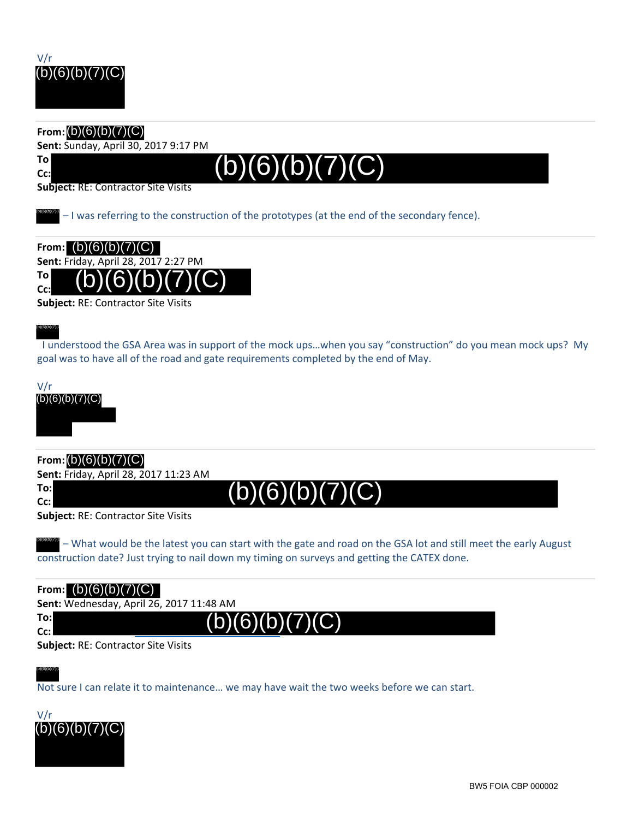

#### **From:** (b)(6)(b)(7)(C)

**Sent:** Sunday, April 30, 2017 9:17 PM

**To**

**Cc:**

(b)(6)(b)(7)(C)

(b)(6)(b)(7

**Subject:** RE: Contractor Site Visits

– I was referring to the construction of the prototypes (at the end of the secondary fence). (b)(6)(b)(7)(C)

**From:** (b)(6)(b)(7)(C) **Sent:** Friday, April 28, 2017 2:27 PM **To Cc:**  $(b)(6)(b)(7)(C)$ 

**Subject:** RE: Contractor Site Visits

 I understood the GSA Area was in support of the mock ups…when you say "construction" do you mean mock ups? My goal was to have all of the road and gate requirements completed by the end of May.



**From:** (b)(6)(b)(7)(C)

**Sent:** Friday, April 28, 2017 11:23 AM

**To: Cc:**

(b)(6)(b)(7)(C)

 $(b)(6)(b)(7)(C)$ 

**Subject:** RE: Contractor Site Visits

– What would be the latest you can start with the gate and road on the GSA lot and still meet the early August construction date? Just trying to nail down my timing on surveys and getting the CATEX done. (b)(6)(b)(7)(C)

| From: $(b)(6)(b)(7)(C)$                    |                                          |  |
|--------------------------------------------|------------------------------------------|--|
|                                            | Sent: Wednesday, April 26, 2017 11:48 AM |  |
| To:l<br>$Cc$ :                             | (b)(6)(b)(7)(C)                          |  |
| <b>Subject: RE: Contractor Site Visits</b> |                                          |  |

**bject:** RE: Contractor Site Visits

Not sure I can relate it to maintenance… we may have wait the two weeks before we can start.

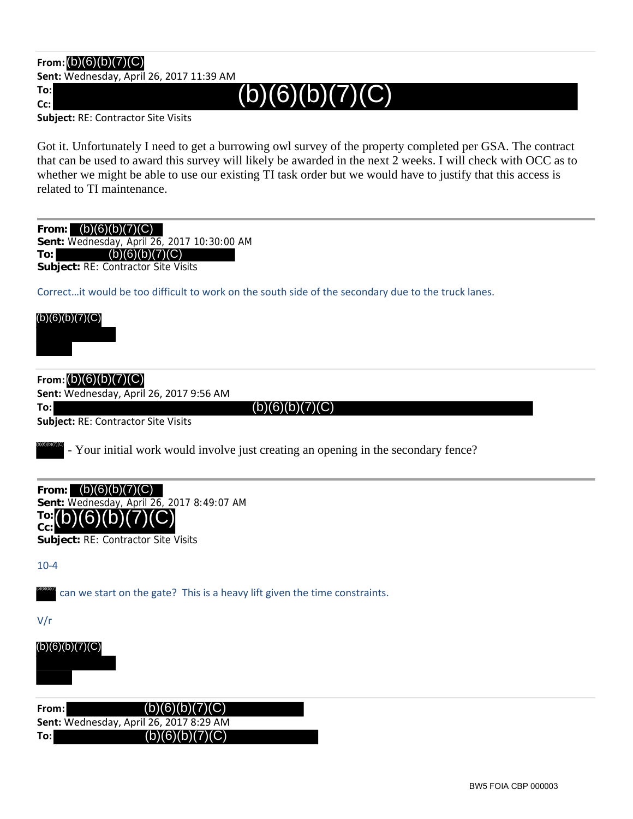# **From:** (b)(6)(b)(7)(C)

**Sent:** Wednesday, April 26, 2017 11:39 AM

**To:**

**Cc:**

 $(b)(6)(b)(7)(C)$ 

**Subject:** RE: Contractor Site Visits

Got it. Unfortunately I need to get a burrowing owl survey of the property completed per GSA. The contract that can be used to award this survey will likely be awarded in the next 2 weeks. I will check with OCC as to whether we might be able to use our existing TI task order but we would have to justify that this access is related to TI maintenance.

| (b)(6)(b)(7)(C)<br>From:<br>Sent: Wednesday, April 26, 2017 10:30:00 AM<br>(b)(6)(b)(7)(C)<br>To:<br>Subject: RE: Contractor Site Visits |
|------------------------------------------------------------------------------------------------------------------------------------------|
| Correctit would be too difficult to work on the south side of the secondary due to the truck lanes.                                      |
| (b)(6)(b)(7)(C)                                                                                                                          |
| From: $(b)(6)(b)(7)(C)$<br>Sent: Wednesday, April 26, 2017 9:56 AM                                                                       |
| (b)(6)(b)(7)(C)<br>To:                                                                                                                   |
| Subject: RE: Contractor Site Visits                                                                                                      |
| - Your initial work would involve just creating an opening in the secondary fence?                                                       |
| (b)(6)(b)(7)(C)<br>From:<br>Sent: Wednesday, April 26, 2017 8:49:07 AM<br>IO:II<br>Cc:<br>Subject: RE: Contractor Site Visits            |
| $10 - 4$                                                                                                                                 |
| can we start on the gate? This is a heavy lift given the time constraints.                                                               |
| V/r                                                                                                                                      |
| (b)(6)(b)(7)(C)                                                                                                                          |
| (b)(6)(b)(7)(C)<br>From:                                                                                                                 |
| Sent: Wednesday, April 26, 2017 8:29 AM<br>(b)(6)(b)(7)(C)<br>To:                                                                        |
|                                                                                                                                          |